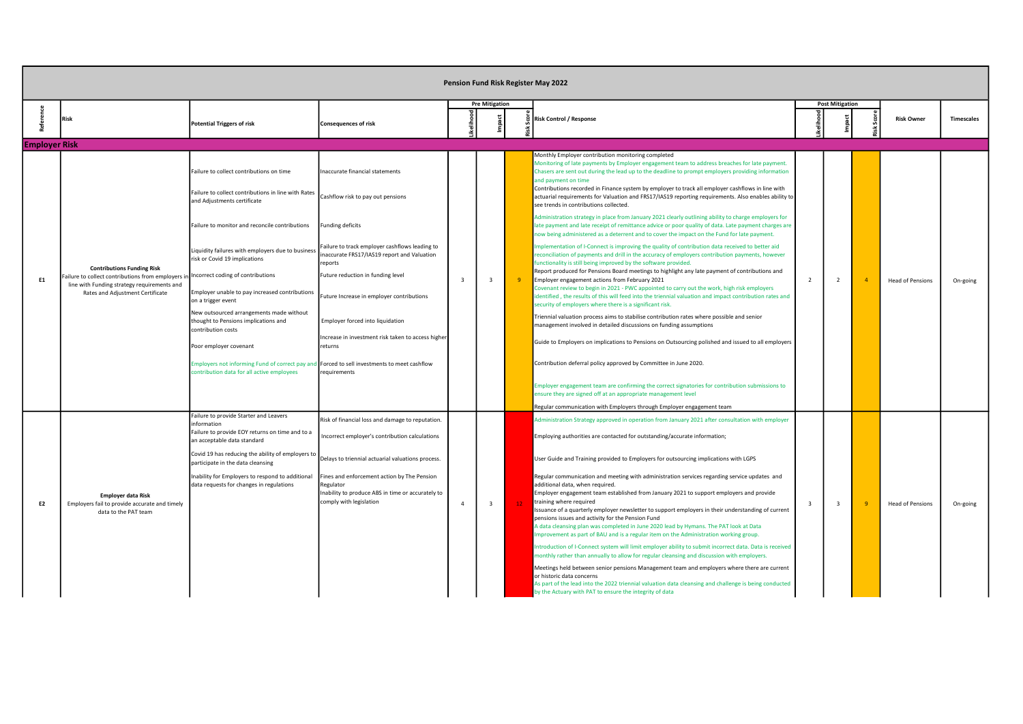|                      |                                                                                      |                                                                                                                                          |                                                                                                                                          |                |                       |                 | Pension Fund Risk Register May 2022                                                                                                                                                                                                                                                                                                                                                                                                                                                                                                    |   |                        |                         |                   |
|----------------------|--------------------------------------------------------------------------------------|------------------------------------------------------------------------------------------------------------------------------------------|------------------------------------------------------------------------------------------------------------------------------------------|----------------|-----------------------|-----------------|----------------------------------------------------------------------------------------------------------------------------------------------------------------------------------------------------------------------------------------------------------------------------------------------------------------------------------------------------------------------------------------------------------------------------------------------------------------------------------------------------------------------------------------|---|------------------------|-------------------------|-------------------|
|                      | Risk                                                                                 | <b>Potential Triggers of risk</b>                                                                                                        | <b>Consequences of risk</b>                                                                                                              |                | <b>Pre Mitigation</b> |                 | <b>Risk Control / Response</b>                                                                                                                                                                                                                                                                                                                                                                                                                                                                                                         |   | <b>Post Mitigation</b> | <b>Risk Owner</b>       | <b>Timescales</b> |
| <b>Employer Risk</b> |                                                                                      |                                                                                                                                          |                                                                                                                                          |                |                       |                 |                                                                                                                                                                                                                                                                                                                                                                                                                                                                                                                                        |   |                        |                         |                   |
|                      |                                                                                      | Failure to collect contributions on time<br>Failure to collect contributions in line with Rates<br>and Adjustments certificate           | Inaccurate financial statements<br>Cashflow risk to pay out pensions                                                                     |                |                       |                 | Monthly Employer contribution monitoring completed<br>Monitoring of late payments by Employer engagement team to address breaches for late payment.<br>Chasers are sent out during the lead up to the deadline to prompt employers providing information<br>and payment on time<br>Contributions recorded in Finance system by employer to track all employer cashflows in line with<br>actuarial requirements for Valuation and FRS17/IAS19 reporting requirements. Also enables ability to<br>see trends in contributions collected. |   |                        |                         |                   |
|                      |                                                                                      | Failure to monitor and reconcile contributions                                                                                           | <b>Funding deficits</b>                                                                                                                  |                |                       |                 | Administration strategy in place from January 2021 clearly outlining ability to charge employers for<br>late payment and late receipt of remittance advice or poor quality of data. Late payment charges are<br>now being administered as a deterrent and to cover the impact on the Fund for late payment.                                                                                                                                                                                                                            |   |                        |                         |                   |
|                      |                                                                                      | Liquidity failures with employers due to business<br>risk or Covid 19 implications                                                       | Failure to track employer cashflows leading to<br>naccurate FRS17/IAS19 report and Valuation<br>reports                                  |                |                       |                 | mplementation of I-Connect is improving the quality of contribution data received to better aid<br>reconciliation of payments and drill in the accuracy of employers contribution payments, however<br>functionality is still being improved by the software provided.                                                                                                                                                                                                                                                                 |   |                        |                         |                   |
| E1                   | <b>Contributions Funding Risk</b><br>Failure to collect contributions from employers | Incorrect coding of contributions                                                                                                        | Future reduction in funding level                                                                                                        | $\mathbf{3}$   | $\overline{3}$        | -9              | Report produced for Pensions Board meetings to highlight any late payment of contributions and<br>Employer engagement actions from February 2021                                                                                                                                                                                                                                                                                                                                                                                       | 2 | $\overline{2}$         | <b>Head of Pensions</b> | On-going          |
|                      | line with Funding strategy requirements and<br>Rates and Adjustment Certificate      | Employer unable to pay increased contributions<br>on a trigger event                                                                     | Future Increase in employer contributions                                                                                                |                |                       |                 | Covenant review to begin in 2021 - PWC appointed to carry out the work, high risk employers<br>identified, the results of this will feed into the triennial valuation and impact contribution rates and<br>security of employers where there is a significant risk.                                                                                                                                                                                                                                                                    |   |                        |                         |                   |
|                      |                                                                                      | New outsourced arrangements made without<br>thought to Pensions implications and<br>contribution costs                                   | Employer forced into liquidation                                                                                                         |                |                       |                 | Triennial valuation process aims to stabilise contribution rates where possible and senior<br>management involved in detailed discussions on funding assumptions                                                                                                                                                                                                                                                                                                                                                                       |   |                        |                         |                   |
|                      |                                                                                      | Poor employer covenant                                                                                                                   | Increase in investment risk taken to access higher<br>returns                                                                            |                |                       |                 | Guide to Employers on implications to Pensions on Outsourcing polished and issued to all employers                                                                                                                                                                                                                                                                                                                                                                                                                                     |   |                        |                         |                   |
|                      |                                                                                      | Employers not informing Fund of correct pay and Forced to sell investments to meet cashflow<br>ontribution data for all active employees | requirements                                                                                                                             |                |                       |                 | Contribution deferral policy approved by Committee in June 2020.                                                                                                                                                                                                                                                                                                                                                                                                                                                                       |   |                        |                         |                   |
|                      |                                                                                      |                                                                                                                                          |                                                                                                                                          |                |                       |                 | Employer engagement team are confirming the correct signatories for contribution submissions to<br>ensure they are signed off at an appropriate management level                                                                                                                                                                                                                                                                                                                                                                       |   |                        |                         |                   |
|                      |                                                                                      | Failure to provide Starter and Leavers                                                                                                   | Risk of financial loss and damage to reputation.                                                                                         |                |                       |                 | Regular communication with Employers through Employer engagement team<br>Administration Strategy approved in operation from January 2021 after consultation with employer                                                                                                                                                                                                                                                                                                                                                              |   |                        |                         |                   |
|                      |                                                                                      | information<br>Failure to provide EOY returns on time and to a<br>an acceptable data standard                                            | ncorrect employer's contribution calculations                                                                                            |                |                       |                 | Employing authorities are contacted for outstanding/accurate information;                                                                                                                                                                                                                                                                                                                                                                                                                                                              |   |                        |                         |                   |
|                      |                                                                                      | Covid 19 has reducing the ability of employers to<br>participate in the data cleansing                                                   | Delays to triennial actuarial valuations process.                                                                                        |                |                       |                 | User Guide and Training provided to Employers for outsourcing implications with LGPS                                                                                                                                                                                                                                                                                                                                                                                                                                                   |   |                        |                         |                   |
| E <sub>2</sub>       | <b>Employer data Risk</b><br>Employers fail to provide accurate and timely           | Inability for Employers to respond to additional<br>data requests for changes in regulations                                             | Fines and enforcement action by The Pension<br>Regulator<br>Inability to produce ABS in time or accurately to<br>comply with legislation | $\overline{4}$ | $\overline{3}$        | 12 <sup>7</sup> | Regular communication and meeting with administration services regarding service updates and<br>additional data, when required.<br>Employer engagement team established from January 2021 to support employers and provide<br>training where required                                                                                                                                                                                                                                                                                  | २ |                        | <b>Head of Pensions</b> | On-going          |
|                      | data to the PAT team                                                                 |                                                                                                                                          |                                                                                                                                          |                |                       |                 | Issuance of a quarterly employer newsletter to support employers in their understanding of current<br>pensions issues and activity for the Pension Fund<br>A data cleansing plan was completed in June 2020 lead by Hymans. The PAT look at Data<br>Improvement as part of BAU and is a regular item on the Administration working group.                                                                                                                                                                                              |   |                        |                         |                   |
|                      |                                                                                      |                                                                                                                                          |                                                                                                                                          |                |                       |                 | Introduction of I-Connect system will limit employer ability to submit incorrect data. Data is received<br>monthly rather than annually to allow for regular cleansing and discussion with employers.                                                                                                                                                                                                                                                                                                                                  |   |                        |                         |                   |
|                      |                                                                                      |                                                                                                                                          |                                                                                                                                          |                |                       |                 | Meetings held between senior pensions Management team and employers where there are current<br>or historic data concerns<br>As part of the lead into the 2022 triennial valuation data cleansing and challenge is being conducted<br>by the Actuary with PAT to ensure the integrity of data                                                                                                                                                                                                                                           |   |                        |                         |                   |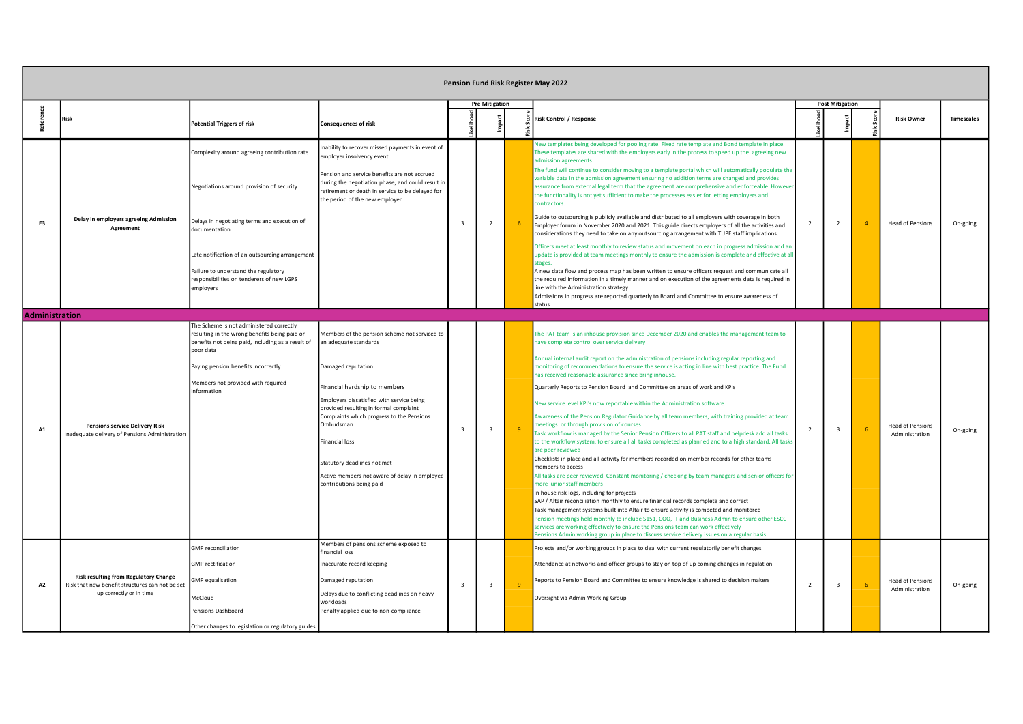|                       |                                                                                                                            |                                                                                                                                                                                                                                                                                                                 |                                                                                                                                                                                                                                                                                                                                                                                                                     |                         |                         |              | Pension Fund Risk Register May 2022                                                                                                                                                                                                                                                                                                                                                                                                                                                                                                                                                                                                                                                                                                                                                                                                                                                                                                                                                                                                                                                                                                                                                                                                                                                                                                                                                                                                                                                                                                                                                                                                                                                                                                         |                |                         |                                           |                   |
|-----------------------|----------------------------------------------------------------------------------------------------------------------------|-----------------------------------------------------------------------------------------------------------------------------------------------------------------------------------------------------------------------------------------------------------------------------------------------------------------|---------------------------------------------------------------------------------------------------------------------------------------------------------------------------------------------------------------------------------------------------------------------------------------------------------------------------------------------------------------------------------------------------------------------|-------------------------|-------------------------|--------------|---------------------------------------------------------------------------------------------------------------------------------------------------------------------------------------------------------------------------------------------------------------------------------------------------------------------------------------------------------------------------------------------------------------------------------------------------------------------------------------------------------------------------------------------------------------------------------------------------------------------------------------------------------------------------------------------------------------------------------------------------------------------------------------------------------------------------------------------------------------------------------------------------------------------------------------------------------------------------------------------------------------------------------------------------------------------------------------------------------------------------------------------------------------------------------------------------------------------------------------------------------------------------------------------------------------------------------------------------------------------------------------------------------------------------------------------------------------------------------------------------------------------------------------------------------------------------------------------------------------------------------------------------------------------------------------------------------------------------------------------|----------------|-------------------------|-------------------------------------------|-------------------|
| Referer               | Risk                                                                                                                       | <b>Potential Triggers of risk</b>                                                                                                                                                                                                                                                                               | <b>Consequences of risk</b>                                                                                                                                                                                                                                                                                                                                                                                         |                         | <b>Pre Mitigation</b>   |              | <b>Risk Control / Response</b>                                                                                                                                                                                                                                                                                                                                                                                                                                                                                                                                                                                                                                                                                                                                                                                                                                                                                                                                                                                                                                                                                                                                                                                                                                                                                                                                                                                                                                                                                                                                                                                                                                                                                                              |                | <b>Post Mitigation</b>  | <b>Risk Owner</b>                         | <b>Timescales</b> |
| E3                    | Delay in employers agreeing Admission<br>Agreement                                                                         | Complexity around agreeing contribution rate<br>Negotiations around provision of security<br>Delays in negotiating terms and execution of<br>documentation<br>Late notification of an outsourcing arrangement<br>Failure to understand the regulatory<br>responsibilities on tenderers of new LGPS<br>employers | ability to recover missed payments in event of<br>mployer insolvency event<br>Pension and service benefits are not accrued<br>during the negotiation phase, and could result in<br>retirement or death in service to be delayed for<br>the period of the new employer                                                                                                                                               | $\overline{\mathbf{3}}$ | $\overline{2}$          | 6            | Vew templates being developed for pooling rate. Fixed rate template and Bond template in place.<br>These templates are shared with the employers early in the process to speed up the agreeing new<br>admission agreements<br>The fund will continue to consider moving to a template portal which will automatically populate the<br>variable data in the admission agreement ensuring no addition terms are changed and provides<br>assurance from external legal term that the agreement are comprehensive and enforceable. However<br>the functionality is not yet sufficient to make the processes easier for letting employers and<br>contractors.<br>Guide to outsourcing is publicly available and distributed to all employers with coverage in both<br>Employer forum in November 2020 and 2021. This guide directs employers of all the activities and<br>considerations they need to take on any outsourcing arrangement with TUPE staff implications.<br>Officers meet at least monthly to review status and movement on each in progress admission and an<br>update is provided at team meetings monthly to ensure the admission is complete and effective at all<br>stages.<br>A new data flow and process map has been written to ensure officers request and communicate all<br>the required information in a timely manner and on execution of the agreements data is required in<br>line with the Administration strategy.                                                                                                                                                                                                                                                                                               | $\overline{2}$ | $\overline{2}$          | <b>Head of Pensions</b>                   | On-going          |
| <b>Administration</b> |                                                                                                                            |                                                                                                                                                                                                                                                                                                                 |                                                                                                                                                                                                                                                                                                                                                                                                                     |                         |                         |              | Admissions in progress are reported quarterly to Board and Committee to ensure awareness of<br>status                                                                                                                                                                                                                                                                                                                                                                                                                                                                                                                                                                                                                                                                                                                                                                                                                                                                                                                                                                                                                                                                                                                                                                                                                                                                                                                                                                                                                                                                                                                                                                                                                                       |                |                         |                                           |                   |
| <b>A1</b>             | <b>Pensions service Delivery Risk</b><br>Inadequate delivery of Pensions Administration                                    | The Scheme is not administered correctly<br>resulting in the wrong benefits being paid or<br>benefits not being paid, including as a result of<br>poor data<br>Paying pension benefits incorrectly<br>Members not provided with required<br>information                                                         | Members of the pension scheme not serviced to<br>an adequate standards<br>Damaged reputation<br>Financial hardship to members<br>Employers dissatisfied with service being<br>provided resulting in formal complaint<br>Complaints which progress to the Pensions<br>Ombudsman<br><b>Financial loss</b><br>Statutory deadlines not met<br>Active members not aware of delay in employee<br>contributions being paid | $\overline{3}$          | $\overline{\mathbf{3}}$ |              | The PAT team is an inhouse provision since December 2020 and enables the management team to<br>have complete control over service delivery<br>Annual internal audit report on the administration of pensions including regular reporting and<br>nonitoring of recommendations to ensure the service is acting in line with best practice. The Fund<br>has received reasonable assurance since bring inhouse.<br>Quarterly Reports to Pension Board and Committee on areas of work and KPIs<br>New service level KPI's now reportable within the Administration software.<br>Awareness of the Pension Regulator Guidance by all team members, with training provided at team<br>neetings or through provision of courses<br>Task workflow is managed by the Senior Pension Officers to all PAT staff and helpdesk add all tasks<br>to the workflow system, to ensure all all tasks completed as planned and to a high standard. All tasks<br>re peer reviewed<br>Checklists in place and all activity for members recorded on member records for other teams<br>members to access<br>All tasks are peer reviewed. Constant monitoring / checking by team managers and senior officers for<br>more junior staff members<br>In house risk logs, including for projects<br>SAP / Altair reconciliation monthly to ensure financial records complete and correct<br>Task management systems built into Altair to ensure activity is competed and monitored<br>Pension meetings held monthly to include \$151, COO, IT and Business Admin to ensure other ESCC<br>services are working effectively to ensure the Pensions team can work effectively<br>ensions Admin working group in place to discuss service delivery issues on a regular basis | 2              | $\overline{\mathbf{3}}$ | <b>Head of Pensions</b><br>Administration | On-going          |
| <b>A2</b>             | <b>Risk resulting from Regulatory Change</b><br>Risk that new benefit structures can not be set<br>up correctly or in time | <b>GMP</b> reconciliation<br><b>GMP</b> rectification<br><b>GMP</b> equalisation<br>McCloud<br>Pensions Dashboard<br>Other changes to legislation or regulatory guides                                                                                                                                          | Members of pensions scheme exposed to<br>financial loss<br>Inaccurate record keeping<br>Damaged reputation<br>Delays due to conflicting deadlines on heavy<br>workloads<br>Penalty applied due to non-compliance                                                                                                                                                                                                    | $\overline{3}$          | $\overline{\mathbf{3}}$ | $\mathbf{q}$ | Projects and/or working groups in place to deal with current regulatorily benefit changes<br>Attendance at networks and officer groups to stay on top of up coming changes in regulation<br>Reports to Pension Board and Committee to ensure knowledge is shared to decision makers<br>Oversight via Admin Working Group                                                                                                                                                                                                                                                                                                                                                                                                                                                                                                                                                                                                                                                                                                                                                                                                                                                                                                                                                                                                                                                                                                                                                                                                                                                                                                                                                                                                                    | $\overline{2}$ | $\overline{3}$          | <b>Head of Pensions</b><br>Administration | On-going          |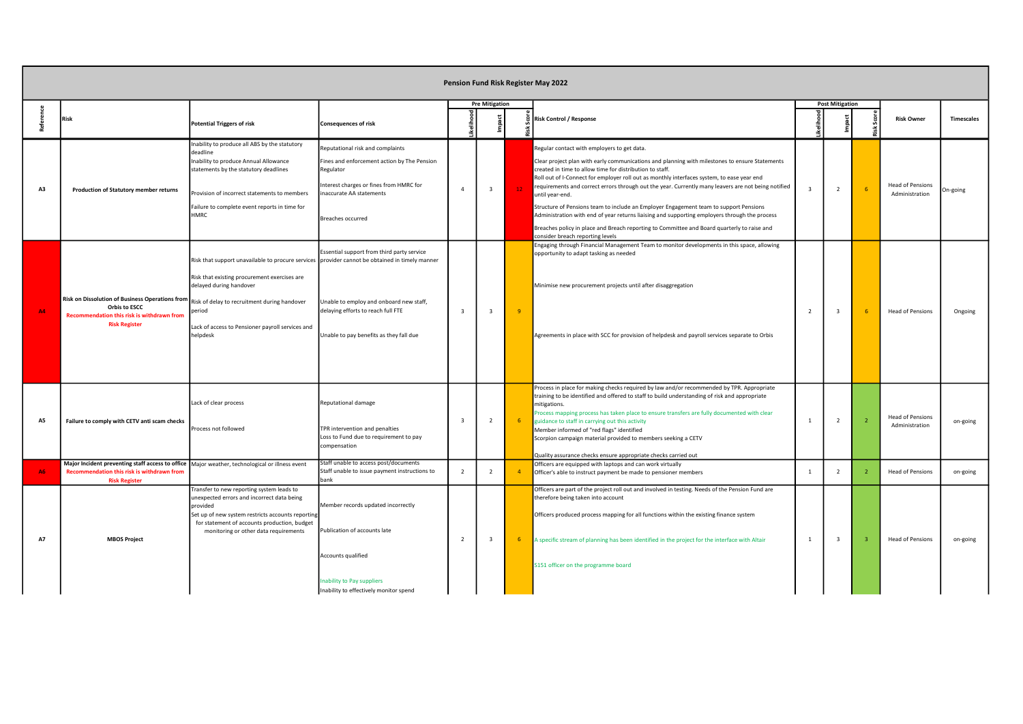|           |                                                                                                                                                                        |                                                                                                                                                                                                                                                                                                     |                                                                                                                                                                                         |                         |                         |                | Pension Fund Risk Register May 2022                                                                                                                                                                                                                                                                                                                                                                                                                                                                                                                                                                                                                                                                                                                            |                          |                        |                                           |                   |
|-----------|------------------------------------------------------------------------------------------------------------------------------------------------------------------------|-----------------------------------------------------------------------------------------------------------------------------------------------------------------------------------------------------------------------------------------------------------------------------------------------------|-----------------------------------------------------------------------------------------------------------------------------------------------------------------------------------------|-------------------------|-------------------------|----------------|----------------------------------------------------------------------------------------------------------------------------------------------------------------------------------------------------------------------------------------------------------------------------------------------------------------------------------------------------------------------------------------------------------------------------------------------------------------------------------------------------------------------------------------------------------------------------------------------------------------------------------------------------------------------------------------------------------------------------------------------------------------|--------------------------|------------------------|-------------------------------------------|-------------------|
| Referer   | <b>Risk</b>                                                                                                                                                            | <b>Potential Triggers of risk</b>                                                                                                                                                                                                                                                                   | <b>Consequences of risk</b>                                                                                                                                                             |                         | <b>Pre Mitigation</b>   |                | Risk Control / Response                                                                                                                                                                                                                                                                                                                                                                                                                                                                                                                                                                                                                                                                                                                                        |                          | <b>Post Mitigation</b> | <b>Risk Owner</b>                         | <b>Timescales</b> |
| A3        | <b>Production of Statutory member returns</b>                                                                                                                          | nability to produce all ABS by the statutory<br>deadline<br>Inability to produce Annual Allowance<br>statements by the statutory deadlines<br>Provision of incorrect statements to members<br>Failure to complete event reports in time for<br><b>HMRC</b>                                          | Reputational risk and complaints<br>Fines and enforcement action by The Pension<br>Regulator<br>Interest charges or fines from HMRC for<br>naccurate AA statements<br>Breaches occurred | $\overline{4}$          | $\overline{\mathbf{3}}$ | 12             | Regular contact with employers to get data.<br>Clear project plan with early communications and planning with milestones to ensure Statements<br>created in time to allow time for distribution to staff.<br>Roll out of I-Connect for employer roll out as monthly interfaces system, to ease year end<br>requirements and correct errors through out the year. Currently many leavers are not being notified<br>until year-end.<br>Structure of Pensions team to include an Employer Engagement team to support Pensions<br>Administration with end of year returns liaising and supporting employers through the process<br>Breaches policy in place and Breach reporting to Committee and Board quarterly to raise and<br>consider breach reporting levels |                          | $\overline{2}$         | <b>Head of Pensions</b><br>Administration | On-going          |
| <b>A4</b> | Risk on Dissolution of Business Operations from<br>Orbis to ESCC<br>Recommendation this risk is withdrawn from<br><b>Risk Register</b>                                 | Risk that support unavailable to procure services provider cannot be obtained in timely manner<br>Risk that existing procurement exercises are<br>delayed during handover<br>Risk of delay to recruitment during handover<br>period<br>Lack of access to Pensioner payroll services and<br>helpdesk | Essential support from third party service<br>Unable to employ and onboard new staff,<br>delaying efforts to reach full FTE<br>Unable to pay benefits as they fall due                  | $\overline{\mathbf{3}}$ | $\overline{3}$          | $\overline{q}$ | Engaging through Financial Management Team to monitor developments in this space, allowing<br>opportunity to adapt tasking as needed<br>Minimise new procurement projects until after disaggregation<br>Agreements in place with SCC for provision of helpdesk and payroll services separate to Orbis                                                                                                                                                                                                                                                                                                                                                                                                                                                          | $\overline{\phantom{a}}$ | $\mathbf{3}$           | <b>Head of Pensions</b>                   | Ongoing           |
| A5        | Failure to comply with CETV anti scam checks                                                                                                                           | Lack of clear process<br>rocess not followed                                                                                                                                                                                                                                                        | Reputational damage<br>TPR intervention and penalties<br>Loss to Fund due to requirement to pay<br>compensation                                                                         | $\overline{\mathbf{3}}$ | $\overline{2}$          | 6 <sup>6</sup> | Process in place for making checks required by law and/or recommended by TPR. Appropriate<br>training to be identified and offered to staff to build understanding of risk and appropriate<br>mitigations.<br>rocess mapping process has taken place to ensure transfers are fully documented with clear<br>guidance to staff in carrying out this activity<br>Member informed of "red flags" identified<br>Scorpion campaign material provided to members seeking a CETV<br>Quality assurance checks ensure appropriate checks carried out                                                                                                                                                                                                                    | $\overline{1}$           | $\overline{2}$         | <b>Head of Pensions</b><br>Administration | on-going          |
| <b>A6</b> | Major Incident preventing staff access to office   Major weather, technological or illness event<br>Recommendation this risk is withdrawn from<br><b>Risk Register</b> |                                                                                                                                                                                                                                                                                                     | Staff unable to access post/documents<br>Staff unable to issue payment instructions to<br>bank                                                                                          | $2^{\circ}$             | $\overline{2}$          |                | Officers are equipped with laptops and can work virtually<br>Officer's able to instruct payment be made to pensioner members                                                                                                                                                                                                                                                                                                                                                                                                                                                                                                                                                                                                                                   | $\overline{1}$           | 2                      | <b>Head of Pensions</b>                   | on-going          |
| <b>A7</b> | <b>MBOS Project</b>                                                                                                                                                    | Transfer to new reporting system leads to<br>unexpected errors and incorrect data being<br>provided<br>Set up of new system restricts accounts reporting<br>for statement of accounts production, budget<br>monitoring or other data requirements                                                   | Member records updated incorrectly<br>Publication of accounts late<br>Accounts qualified<br><b>Inability to Pay suppliers</b><br>Inability to effectively monitor spend                 | $\overline{2}$          | $\overline{3}$          | -6             | Officers are part of the project roll out and involved in testing. Needs of the Pension Fund are<br>therefore being taken into account<br>Officers produced process mapping for all functions within the existing finance system<br>A specific stream of planning has been identified in the project for the interface with Altair<br>S151 officer on the programme board                                                                                                                                                                                                                                                                                                                                                                                      |                          | $\mathbf{3}$           | <b>Head of Pensions</b>                   | on-going          |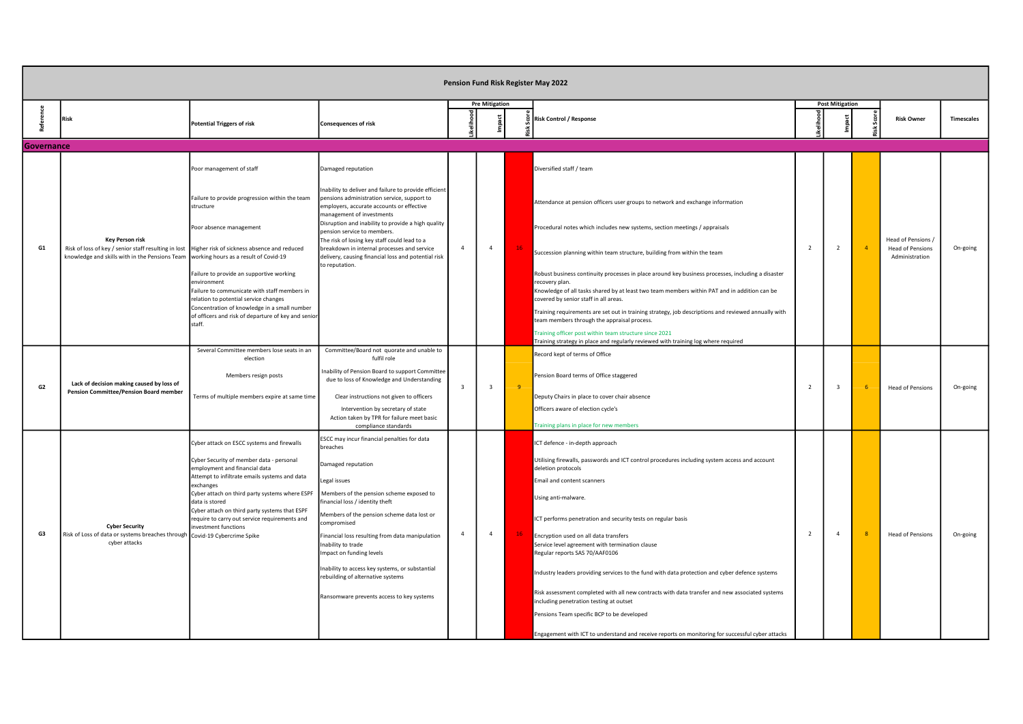|            |                                                                                                                                                                                            |                                                                                                                                                 |                                                                                                                                                                               |                         |                         |    | Pension Fund Risk Register May 2022                                                                                                                                                                                                                          |                |                        |                |                                           |                   |
|------------|--------------------------------------------------------------------------------------------------------------------------------------------------------------------------------------------|-------------------------------------------------------------------------------------------------------------------------------------------------|-------------------------------------------------------------------------------------------------------------------------------------------------------------------------------|-------------------------|-------------------------|----|--------------------------------------------------------------------------------------------------------------------------------------------------------------------------------------------------------------------------------------------------------------|----------------|------------------------|----------------|-------------------------------------------|-------------------|
|            | Risk                                                                                                                                                                                       | <b>Potential Triggers of risk</b>                                                                                                               | <b>Consequences of risk</b>                                                                                                                                                   |                         | <b>Pre Mitigation</b>   |    | <b>Risk Control / Response</b>                                                                                                                                                                                                                               |                | <b>Post Mitigation</b> |                | <b>Risk Owner</b>                         | <b>Timescales</b> |
| Governance |                                                                                                                                                                                            |                                                                                                                                                 |                                                                                                                                                                               |                         |                         |    |                                                                                                                                                                                                                                                              |                |                        |                |                                           |                   |
|            |                                                                                                                                                                                            | Poor management of staff                                                                                                                        | Damaged reputation                                                                                                                                                            |                         |                         |    | Diversified staff / team                                                                                                                                                                                                                                     |                |                        |                |                                           |                   |
|            |                                                                                                                                                                                            | Failure to provide progression within the team<br>structure                                                                                     | Inability to deliver and failure to provide efficien<br>pensions administration service, support to<br>employers, accurate accounts or effective<br>management of investments |                         |                         |    | Attendance at pension officers user groups to network and exchange information                                                                                                                                                                               |                |                        |                |                                           |                   |
|            | <b>Key Person risk</b>                                                                                                                                                                     | Poor absence management                                                                                                                         | Disruption and inability to provide a high quality<br>pension service to members.<br>The risk of losing key staff could lead to a                                             |                         |                         |    | Procedural notes which includes new systems, section meetings / appraisals                                                                                                                                                                                   |                |                        |                | Head of Pensions /                        |                   |
| G1         | Risk of loss of key / senior staff resulting in lost   Higher risk of sickness absence and reduced<br>knowledge and skills with in the Pensions Team working hours as a result of Covid-19 |                                                                                                                                                 | breakdown in internal processes and service<br>delivery, causing financial loss and potential risk<br>to reputation.                                                          | $\overline{4}$          | $\overline{4}$          |    | Succession planning within team structure, building from within the team                                                                                                                                                                                     | $\overline{2}$ | $\overline{2}$         | $\overline{4}$ | <b>Head of Pensions</b><br>Administration | On-going          |
|            |                                                                                                                                                                                            | Failure to provide an supportive working<br>nvironment<br>Failure to communicate with staff members in<br>relation to potential service changes |                                                                                                                                                                               |                         |                         |    | Robust business continuity processes in place around key business processes, including a disaster<br>recovery plan.<br>Knowledge of all tasks shared by at least two team members within PAT and in addition can be<br>covered by senior staff in all areas. |                |                        |                |                                           |                   |
|            |                                                                                                                                                                                            | Concentration of knowledge in a small number<br>of officers and risk of departure of key and senio<br>staff.                                    |                                                                                                                                                                               |                         |                         |    | Training requirements are set out in training strategy, job descriptions and reviewed annually with<br>team members through the appraisal process.                                                                                                           |                |                        |                |                                           |                   |
|            |                                                                                                                                                                                            |                                                                                                                                                 |                                                                                                                                                                               |                         |                         |    | Fraining officer post within team structure since 2021<br>Training strategy in place and regularly reviewed with training log where required                                                                                                                 |                |                        |                |                                           |                   |
|            |                                                                                                                                                                                            | Several Committee members lose seats in an<br>election                                                                                          | Committee/Board not quorate and unable to<br>fulfil role                                                                                                                      |                         |                         |    | Record kept of terms of Office                                                                                                                                                                                                                               |                |                        |                |                                           |                   |
| G2         | Lack of decision making caused by loss of                                                                                                                                                  | Members resign posts                                                                                                                            | nability of Pension Board to support Committee<br>due to loss of Knowledge and Understanding                                                                                  | $\overline{\mathbf{3}}$ | $\overline{\mathbf{3}}$ | 9  | Pension Board terms of Office staggered                                                                                                                                                                                                                      | 2              | $\mathbf{3}$           |                | <b>Head of Pensions</b>                   | On-going          |
|            | <b>Pension Committee/Pension Board member</b>                                                                                                                                              | Terms of multiple members expire at same time                                                                                                   | Clear instructions not given to officers                                                                                                                                      |                         |                         |    | Deputy Chairs in place to cover chair absence                                                                                                                                                                                                                |                |                        |                |                                           |                   |
|            |                                                                                                                                                                                            |                                                                                                                                                 | Intervention by secretary of state                                                                                                                                            |                         |                         |    | Officers aware of election cycle's                                                                                                                                                                                                                           |                |                        |                |                                           |                   |
|            |                                                                                                                                                                                            |                                                                                                                                                 | Action taken by TPR for failure meet basic<br>compliance standards                                                                                                            |                         |                         |    | Fraining plans in place for new members                                                                                                                                                                                                                      |                |                        |                |                                           |                   |
|            |                                                                                                                                                                                            | Cyber attack on ESCC systems and firewalls                                                                                                      | ESCC may incur financial penalties for data<br>breaches                                                                                                                       |                         |                         |    | ICT defence - in-depth approach                                                                                                                                                                                                                              |                |                        |                |                                           |                   |
|            |                                                                                                                                                                                            | Cyber Security of member data - personal<br>employment and financial data<br>Attempt to infiltrate emails systems and data                      | Damaged reputation                                                                                                                                                            |                         |                         |    | Utilising firewalls, passwords and ICT control procedures including system access and account<br>deletion protocols                                                                                                                                          |                |                        |                |                                           |                   |
|            |                                                                                                                                                                                            | exchanges                                                                                                                                       | egal issues                                                                                                                                                                   |                         |                         |    | Email and content scanners                                                                                                                                                                                                                                   |                |                        |                |                                           |                   |
|            |                                                                                                                                                                                            | Cyber attach on third party systems where ESPF<br>data is stored                                                                                | Members of the pension scheme exposed to<br>financial loss / identity theft                                                                                                   |                         |                         |    | Using anti-malware.                                                                                                                                                                                                                                          |                |                        |                |                                           |                   |
|            | <b>Cyber Security</b>                                                                                                                                                                      | Cyber attach on third party systems that ESPF<br>require to carry out service requirements and<br>investment functions                          | Members of the pension scheme data lost or<br>compromised                                                                                                                     |                         |                         |    | ICT performs penetration and security tests on regular basis                                                                                                                                                                                                 |                |                        |                |                                           |                   |
| G3         | Risk of Loss of data or systems breaches through Covid-19 Cybercrime Spike<br>cyber attacks                                                                                                |                                                                                                                                                 | Financial loss resulting from data manipulation<br>Inability to trade                                                                                                         | $\overline{4}$          | $\overline{4}$          | 16 | Encryption used on all data transfers<br>Service level agreement with termination clause                                                                                                                                                                     | $\overline{2}$ | $\overline{4}$         |                | <b>Head of Pensions</b>                   | On-going          |
|            |                                                                                                                                                                                            |                                                                                                                                                 | Impact on funding levels                                                                                                                                                      |                         |                         |    | Regular reports SAS 70/AAF0106                                                                                                                                                                                                                               |                |                        |                |                                           |                   |
|            |                                                                                                                                                                                            |                                                                                                                                                 | Inability to access key systems, or substantial<br>rebuilding of alternative systems                                                                                          |                         |                         |    | Industry leaders providing services to the fund with data protection and cyber defence systems                                                                                                                                                               |                |                        |                |                                           |                   |
|            |                                                                                                                                                                                            |                                                                                                                                                 | Ransomware prevents access to key systems                                                                                                                                     |                         |                         |    | Risk assessment completed with all new contracts with data transfer and new associated systems<br>including penetration testing at outset                                                                                                                    |                |                        |                |                                           |                   |
|            |                                                                                                                                                                                            |                                                                                                                                                 |                                                                                                                                                                               |                         |                         |    | Pensions Team specific BCP to be developed                                                                                                                                                                                                                   |                |                        |                |                                           |                   |
|            |                                                                                                                                                                                            |                                                                                                                                                 |                                                                                                                                                                               |                         |                         |    | Engagement with ICT to understand and receive reports on monitoring for successful cyber attacks                                                                                                                                                             |                |                        |                |                                           |                   |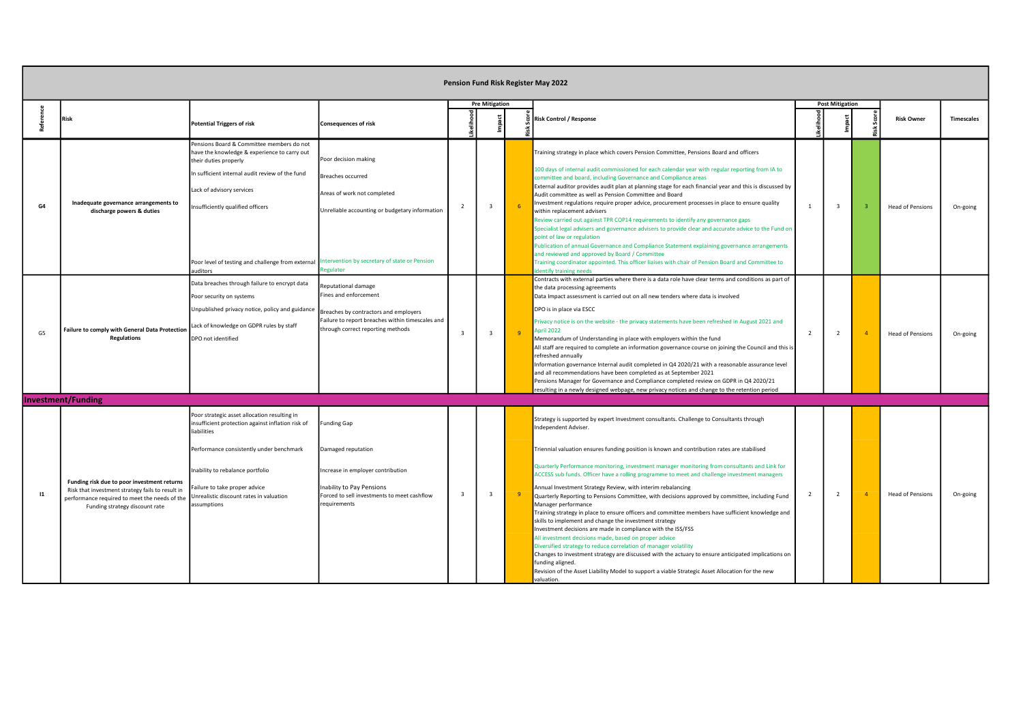|              |                                                                                                                                                                                    |                                                                                                                                                                                                                                                                                                       |                                                                                                                                                                                        |                         |                         | Pension Fund Risk Register May 2022                                                                                                                                                                                                                                                                                                                                                                                                                                                                                                                                                                                                                                                                                                                                                                                                                                                                                                                                                                                                                                                                                                                                                                                |                |                        |                         |                   |
|--------------|------------------------------------------------------------------------------------------------------------------------------------------------------------------------------------|-------------------------------------------------------------------------------------------------------------------------------------------------------------------------------------------------------------------------------------------------------------------------------------------------------|----------------------------------------------------------------------------------------------------------------------------------------------------------------------------------------|-------------------------|-------------------------|--------------------------------------------------------------------------------------------------------------------------------------------------------------------------------------------------------------------------------------------------------------------------------------------------------------------------------------------------------------------------------------------------------------------------------------------------------------------------------------------------------------------------------------------------------------------------------------------------------------------------------------------------------------------------------------------------------------------------------------------------------------------------------------------------------------------------------------------------------------------------------------------------------------------------------------------------------------------------------------------------------------------------------------------------------------------------------------------------------------------------------------------------------------------------------------------------------------------|----------------|------------------------|-------------------------|-------------------|
|              | <b>Risk</b>                                                                                                                                                                        | <b>Potential Triggers of risk</b>                                                                                                                                                                                                                                                                     | Consequences of risk                                                                                                                                                                   |                         | <b>Pre Mitigation</b>   | <b>Risk Control / Response</b>                                                                                                                                                                                                                                                                                                                                                                                                                                                                                                                                                                                                                                                                                                                                                                                                                                                                                                                                                                                                                                                                                                                                                                                     |                | <b>Post Mitigation</b> | <b>Risk Owner</b>       | <b>Timescales</b> |
| G4           | Inadequate governance arrangements to<br>discharge powers & duties                                                                                                                 | Pensions Board & Committee members do not<br>have the knowledge & experience to carry out<br>their duties properly<br>n sufficient internal audit review of the fund<br>Lack of advisory services<br>nsufficiently qualified officers<br>Poor level of testing and challenge from external<br>uditors | Poor decision making<br>Breaches occurred<br>Areas of work not completed<br>Unreliable accounting or budgetary information<br>ntervention by secretary of state or Pension<br>egulator | $\overline{2}$          | $\overline{\mathbf{3}}$ | Training strategy in place which covers Pension Committee, Pensions Board and officers<br>100 days of internal audit commissioned for each calendar year with regular reporting from IA to<br>committee and board, including Governance and Compliance areas<br>External auditor provides audit plan at planning stage for each financial year and this is discussed by<br>Audit committee as well as Pension Committee and Board<br>nvestment regulations require proper advice, procurement processes in place to ensure quality<br>within replacement advisers<br>Review carried out against TPR COP14 requirements to identify any governance gaps<br>Specialist legal advisers and governance advisers to provide clear and accurate advice to the Fund on<br>point of law or regulation<br>Publication of annual Governance and Compliance Statement explaining governance arrangements<br>and reviewed and approved by Board / Committee<br>Training coordinator appointed. This officer liaises with chair of Pension Board and Committee to<br>dentify training needs                                                                                                                                     | $\overline{1}$ | $\mathbf{3}$           | <b>Head of Pensions</b> | On-going          |
| G5           | Failure to comply with General Data Protectior<br><b>Regulations</b>                                                                                                               | Data breaches through failure to encrypt data<br>Poor security on systems<br>Unpublished privacy notice, policy and guidance<br>Lack of knowledge on GDPR rules by staff<br>DPO not identified                                                                                                        | Reputational damage<br>Fines and enforcement<br>Breaches by contractors and employers<br>Failure to report breaches within timescales and<br>through correct reporting methods         | $\mathbf{3}$            | $\overline{\mathbf{3}}$ | Contracts with external parties where there is a data role have clear terms and conditions as part of<br>the data processing agreements<br>Data Impact assessment is carried out on all new tenders where data is involved<br>DPO is in place via ESCC<br>Privacy notice is on the website - the privacy statements have been refreshed in August 2021 and<br>April 2022<br>Memorandum of Understanding in place with employers within the fund<br>All staff are required to complete an information governance course on joining the Council and this is<br>refreshed annually<br>Information governance Internal audit completed in Q4 2020/21 with a reasonable assurance level<br>and all recommendations have been completed as at September 2021<br>Pensions Manager for Governance and Compliance completed review on GDPR in Q4 2020/21<br>esulting in a newly designed webpage, new privacy notices and change to the retention period                                                                                                                                                                                                                                                                    | $\overline{2}$ | $\overline{2}$         | <b>Head of Pensions</b> | On-going          |
|              | <b>Investment/Funding</b>                                                                                                                                                          |                                                                                                                                                                                                                                                                                                       |                                                                                                                                                                                        |                         |                         |                                                                                                                                                                                                                                                                                                                                                                                                                                                                                                                                                                                                                                                                                                                                                                                                                                                                                                                                                                                                                                                                                                                                                                                                                    |                |                        |                         |                   |
| $\mathbf{I}$ | Funding risk due to poor investment returns<br>Risk that investment strategy fails to result in<br>performance required to meet the needs of the<br>Funding strategy discount rate | Poor strategic asset allocation resulting in<br>nsufficient protection against inflation risk of<br>liabilities<br>Performance consistently under benchmark<br>Inability to rebalance portfolio<br>Failure to take proper advice<br>Unrealistic discount rates in valuation<br>ssumptions             | unding Gap<br>Damaged reputation<br>Increase in employer contribution<br>Inability to Pay Pensions<br>Forced to sell investments to meet cashflow<br>requirements                      | $\overline{\mathbf{3}}$ | $\overline{\mathbf{3}}$ | Strategy is supported by expert Investment consultants. Challenge to Consultants through<br>Independent Adviser.<br>Triennial valuation ensures funding position is known and contribution rates are stabilised<br>Quarterly Performance monitoring, investment manager monitoring from consultants and Link for<br>ACCESS sub funds. Officer have a rolling programme to meet and challenge investment managers<br>Annual Investment Strategy Review, with interim rebalancing<br>Quarterly Reporting to Pensions Committee, with decisions approved by committee, including Fund<br>Manager performance<br>Training strategy in place to ensure officers and committee members have sufficient knowledge and<br>skills to implement and change the investment strategy<br>Investment decisions are made in compliance with the ISS/FSS<br>All investment decisions made, based on proper advice<br>Diversified strategy to reduce correlation of manager volatility<br>Changes to investment strategy are discussed with the actuary to ensure anticipated implications on<br>funding aligned.<br>Revision of the Asset Liability Model to support a viable Strategic Asset Allocation for the new<br>valuation. | $\overline{2}$ | $\overline{2}$         | <b>Head of Pensions</b> | On-going          |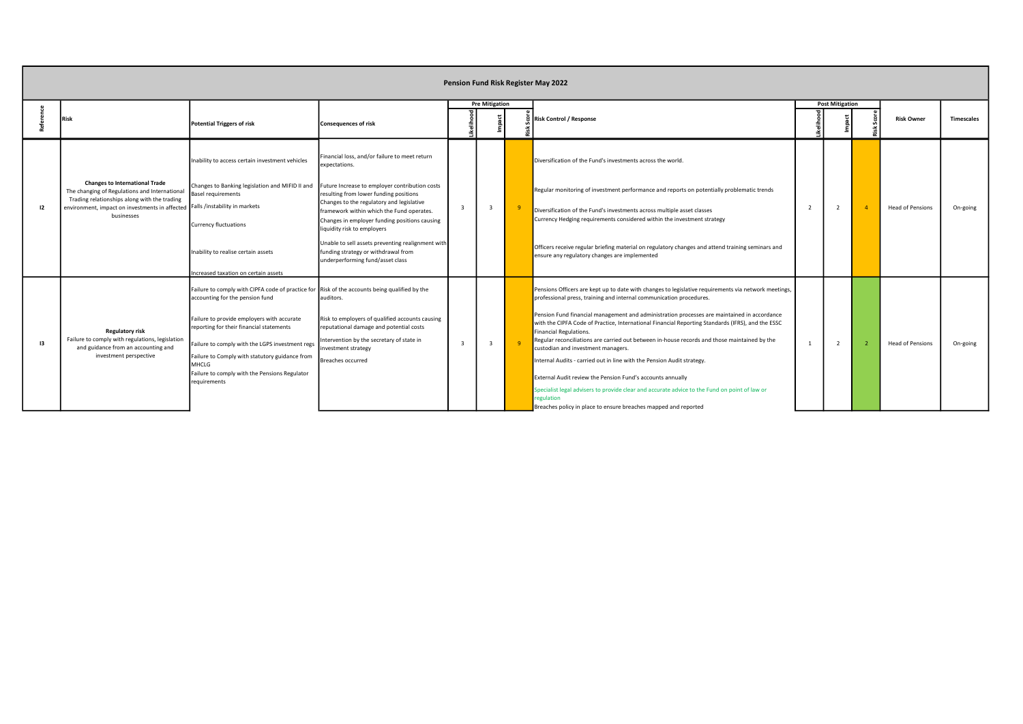|               |                                                                                                                                                                                                                                      |                                                                                                                                                                                                                                                                       |                                                                                                                                                                                                                                     |                         |                         | Pension Fund Risk Register May 2022                                                                                                                                                                                                                                                                                                                                                                                                                                                                      |                |                        |                         |                   |
|---------------|--------------------------------------------------------------------------------------------------------------------------------------------------------------------------------------------------------------------------------------|-----------------------------------------------------------------------------------------------------------------------------------------------------------------------------------------------------------------------------------------------------------------------|-------------------------------------------------------------------------------------------------------------------------------------------------------------------------------------------------------------------------------------|-------------------------|-------------------------|----------------------------------------------------------------------------------------------------------------------------------------------------------------------------------------------------------------------------------------------------------------------------------------------------------------------------------------------------------------------------------------------------------------------------------------------------------------------------------------------------------|----------------|------------------------|-------------------------|-------------------|
|               | <b>Risk</b>                                                                                                                                                                                                                          | <b>Potential Triggers of risk</b>                                                                                                                                                                                                                                     | <b>Consequences of risk</b>                                                                                                                                                                                                         |                         | <b>Pre Mitigation</b>   | 8 Risk Control / Response                                                                                                                                                                                                                                                                                                                                                                                                                                                                                |                | <b>Post Mitigation</b> | <b>Risk Owner</b>       | <b>Timescales</b> |
|               |                                                                                                                                                                                                                                      | Inability to access certain investment vehicles                                                                                                                                                                                                                       | Financial loss, and/or failure to meet return<br>expectations.                                                                                                                                                                      |                         |                         | Diversification of the Fund's investments across the world.                                                                                                                                                                                                                                                                                                                                                                                                                                              |                |                        |                         |                   |
| 12            | <b>Changes to International Trade</b><br>The changing of Regulations and International<br>Trading relationships along with the trading<br>environment, impact on investments in affected Falls /instability in markets<br>businesses | Changes to Banking legislation and MIFID II and<br><b>Basel requirements</b>                                                                                                                                                                                          | Future Increase to employer contribution costs<br>resulting from lower funding positions<br>Changes to the regulatory and legislative<br>framework within which the Fund operates.<br>Changes in employer funding positions causing | $\overline{\mathbf{3}}$ | $\overline{\mathbf{3}}$ | Regular monitoring of investment performance and reports on potentially problematic trends<br>Diversification of the Fund's investments across multiple asset classes<br>Currency Hedging requirements considered within the investment strategy                                                                                                                                                                                                                                                         | $\overline{2}$ |                        | <b>Head of Pensions</b> | On-going          |
|               |                                                                                                                                                                                                                                      | <b>Currency fluctuations</b><br>Inability to realise certain assets                                                                                                                                                                                                   | liquidity risk to employers<br>Unable to sell assets preventing realignment with<br>funding strategy or withdrawal from<br>underperforming fund/asset class                                                                         |                         |                         | Officers receive regular briefing material on regulatory changes and attend training seminars and<br>ensure any regulatory changes are implemented                                                                                                                                                                                                                                                                                                                                                       |                |                        |                         |                   |
|               |                                                                                                                                                                                                                                      | ncreased taxation on certain assets                                                                                                                                                                                                                                   |                                                                                                                                                                                                                                     |                         |                         |                                                                                                                                                                                                                                                                                                                                                                                                                                                                                                          |                |                        |                         |                   |
|               |                                                                                                                                                                                                                                      | Failure to comply with CIPFA code of practice for Risk of the accounts being qualified by the<br>accounting for the pension fund                                                                                                                                      | auditors.                                                                                                                                                                                                                           |                         |                         | Pensions Officers are kept up to date with changes to legislative requirements via network meetings,<br>professional press, training and internal communication procedures.                                                                                                                                                                                                                                                                                                                              |                |                        |                         |                   |
| $\mathbf{13}$ | Regulatory risk<br>Failure to comply with regulations, legislation<br>and guidance from an accounting and<br>investment perspective                                                                                                  | Failure to provide employers with accurate<br>reporting for their financial statements<br>Failure to comply with the LGPS investment regs<br>Failure to Comply with statutory guidance from<br>MHCLG<br>Failure to comply with the Pensions Regulator<br>requirements | Risk to employers of qualified accounts causing<br>reputational damage and potential costs<br>Intervention by the secretary of state in<br>investment strategy<br>Breaches occurred                                                 | $\mathbf{R}$            | $\overline{3}$          | Pension Fund financial management and administration processes are maintained in accordance<br>with the CIPFA Code of Practice, International Financial Reporting Standards (IFRS), and the ESSC<br>Financial Regulations.<br>Regular reconciliations are carried out between in-house records and those maintained by the<br>custodian and investment managers.<br>Internal Audits - carried out in line with the Pension Audit strategy.<br>External Audit review the Pension Fund's accounts annually |                |                        | <b>Head of Pensions</b> | On-going          |
|               |                                                                                                                                                                                                                                      |                                                                                                                                                                                                                                                                       |                                                                                                                                                                                                                                     |                         |                         | Specialist legal advisers to provide clear and accurate advice to the Fund on point of law or<br>regulation<br>Breaches policy in place to ensure breaches mapped and reported                                                                                                                                                                                                                                                                                                                           |                |                        |                         |                   |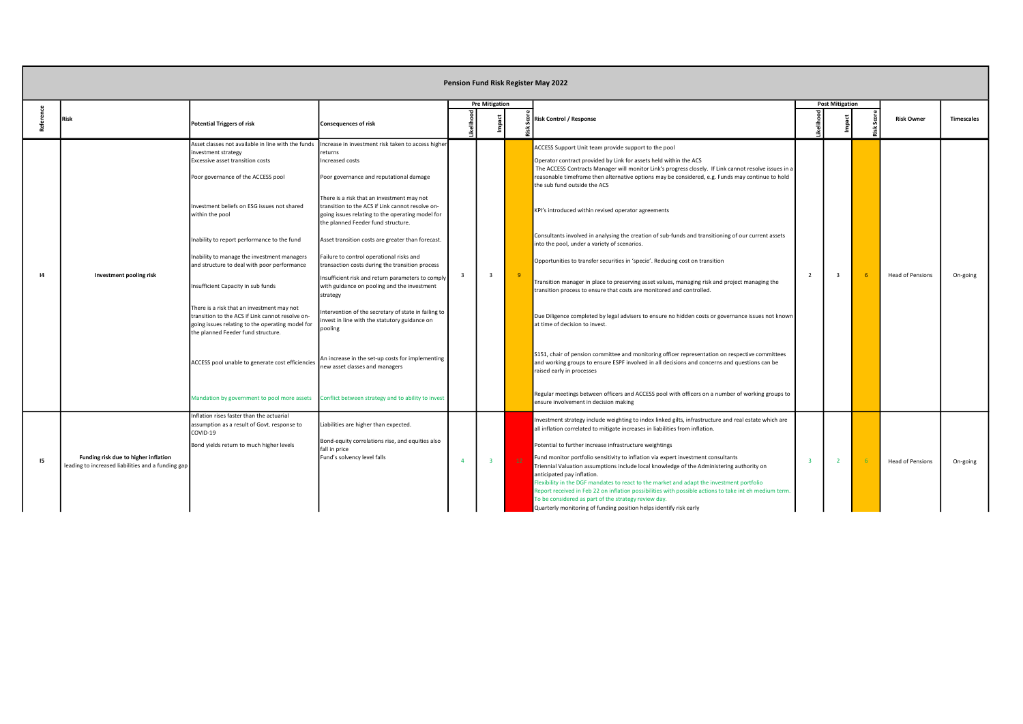|    |                                                                                            |                                                                                                                                                                                                                                                                                                                                                                                                                                                                                                                                                                                                                                                          |                                                                                                                                                                                                                                                                                                                                                                                                                                                                                                                                                                                                                                                                                                                                                                                                                                                                                                       |                |                         |    | Pension Fund Risk Register May 2022                                                                                                                                                                                                                                                                                                                                                                                                                                                                                                                                                                                                                                                                                                                                                                                                                                                                                                                                                                                                                                                                                                                                                                                                                                                                                                                                                                           |
|----|--------------------------------------------------------------------------------------------|----------------------------------------------------------------------------------------------------------------------------------------------------------------------------------------------------------------------------------------------------------------------------------------------------------------------------------------------------------------------------------------------------------------------------------------------------------------------------------------------------------------------------------------------------------------------------------------------------------------------------------------------------------|-------------------------------------------------------------------------------------------------------------------------------------------------------------------------------------------------------------------------------------------------------------------------------------------------------------------------------------------------------------------------------------------------------------------------------------------------------------------------------------------------------------------------------------------------------------------------------------------------------------------------------------------------------------------------------------------------------------------------------------------------------------------------------------------------------------------------------------------------------------------------------------------------------|----------------|-------------------------|----|---------------------------------------------------------------------------------------------------------------------------------------------------------------------------------------------------------------------------------------------------------------------------------------------------------------------------------------------------------------------------------------------------------------------------------------------------------------------------------------------------------------------------------------------------------------------------------------------------------------------------------------------------------------------------------------------------------------------------------------------------------------------------------------------------------------------------------------------------------------------------------------------------------------------------------------------------------------------------------------------------------------------------------------------------------------------------------------------------------------------------------------------------------------------------------------------------------------------------------------------------------------------------------------------------------------------------------------------------------------------------------------------------------------|
|    | Risk                                                                                       | <b>Potential Triggers of risk</b>                                                                                                                                                                                                                                                                                                                                                                                                                                                                                                                                                                                                                        | <b>Consequences of risk</b>                                                                                                                                                                                                                                                                                                                                                                                                                                                                                                                                                                                                                                                                                                                                                                                                                                                                           |                | <b>Pre Mitigation</b>   |    | <b>Post Mitigation</b><br><b>Risk Control / Response</b><br><b>Risk Owner</b><br><b>Timescales</b>                                                                                                                                                                                                                                                                                                                                                                                                                                                                                                                                                                                                                                                                                                                                                                                                                                                                                                                                                                                                                                                                                                                                                                                                                                                                                                            |
|    | Investment pooling risk                                                                    | Asset classes not available in line with the funds<br>investment strategy<br>Excessive asset transition costs<br>Poor governance of the ACCESS pool<br>Investment beliefs on ESG issues not shared<br>within the pool<br>Inability to report performance to the fund<br>Inability to manage the investment managers<br>and structure to deal with poor performance<br>Insufficient Capacity in sub funds<br>There is a risk that an investment may not<br>transition to the ACS if Link cannot resolve on-<br>going issues relating to the operating model for<br>the planned Feeder fund structure.<br>ACCESS pool unable to generate cost efficiencies | Increase in investment risk taken to access higher<br>returns<br>Increased costs<br>Poor governance and reputational damage<br>There is a risk that an investment may not<br>transition to the ACS if Link cannot resolve on-<br>going issues relating to the operating model for<br>the planned Feeder fund structure.<br>Asset transition costs are greater than forecast.<br>Failure to control operational risks and<br>transaction costs during the transition process<br>Insufficient risk and return parameters to comply<br>with guidance on pooling and the investment<br>strategy<br>ntervention of the secretary of state in failing to<br>nvest in line with the statutory guidance on<br>pooling<br>An increase in the set-up costs for implementing<br>new asset classes and managers<br>Mandation by government to pool more assets Conflict between strategy and to ability to invest | $\overline{3}$ | $\overline{\mathbf{3}}$ | -9 | ACCESS Support Unit team provide support to the pool<br>Operator contract provided by Link for assets held within the ACS<br>The ACCESS Contracts Manager will monitor Link's progress closely. If Link cannot resolve issues in a<br>reasonable timeframe then alternative options may be considered, e.g. Funds may continue to hold<br>the sub fund outside the ACS<br>KPI's introduced within revised operator agreements<br>Consultants involved in analysing the creation of sub-funds and transitioning of our current assets<br>into the pool, under a variety of scenarios.<br>Opportunities to transfer securities in 'specie'. Reducing cost on transition<br><b>Head of Pensions</b><br>On-going<br>Transition manager in place to preserving asset values, managing risk and project managing the<br>transition process to ensure that costs are monitored and controlled.<br>Due Diligence completed by legal advisers to ensure no hidden costs or governance issues not known<br>at time of decision to invest.<br>S151, chair of pension committee and monitoring officer representation on respective committees<br>and working groups to ensure ESPF involved in all decisions and concerns and questions can be<br>raised early in processes<br>Regular meetings between officers and ACCESS pool with officers on a number of working groups to<br>ensure involvement in decision making |
| 15 | Funding risk due to higher inflation<br>leading to increased liabilities and a funding gap | Inflation rises faster than the actuarial<br>assumption as a result of Govt. response to<br>COVID-19<br>Bond yields return to much higher levels                                                                                                                                                                                                                                                                                                                                                                                                                                                                                                         | Liabilities are higher than expected.<br>Bond-equity correlations rise, and equities also<br>fall in price<br>Fund's solvency level falls                                                                                                                                                                                                                                                                                                                                                                                                                                                                                                                                                                                                                                                                                                                                                             | $\Delta$       | $\overline{3}$          | 12 | Investment strategy include weighting to index linked gilts, infrastructure and real estate which are<br>all inflation correlated to mitigate increases in liabilities from inflation.<br>Potential to further increase infrastructure weightings<br>Fund monitor portfolio sensitivity to inflation via expert investment consultants<br><b>Head of Pensions</b><br>On-going<br>Triennial Valuation assumptions include local knowledge of the Administering authority on<br>anticipated pay inflation.<br>Flexibility in the DGF mandates to react to the market and adapt the investment portfolio<br>Report received in Feb 22 on inflation possibilities with possible actions to take int eh medium term.<br>To be considered as part of the strategy review day.<br>Quarterly monitoring of funding position helps identify risk early                                                                                                                                                                                                                                                                                                                                                                                                                                                                                                                                                                 |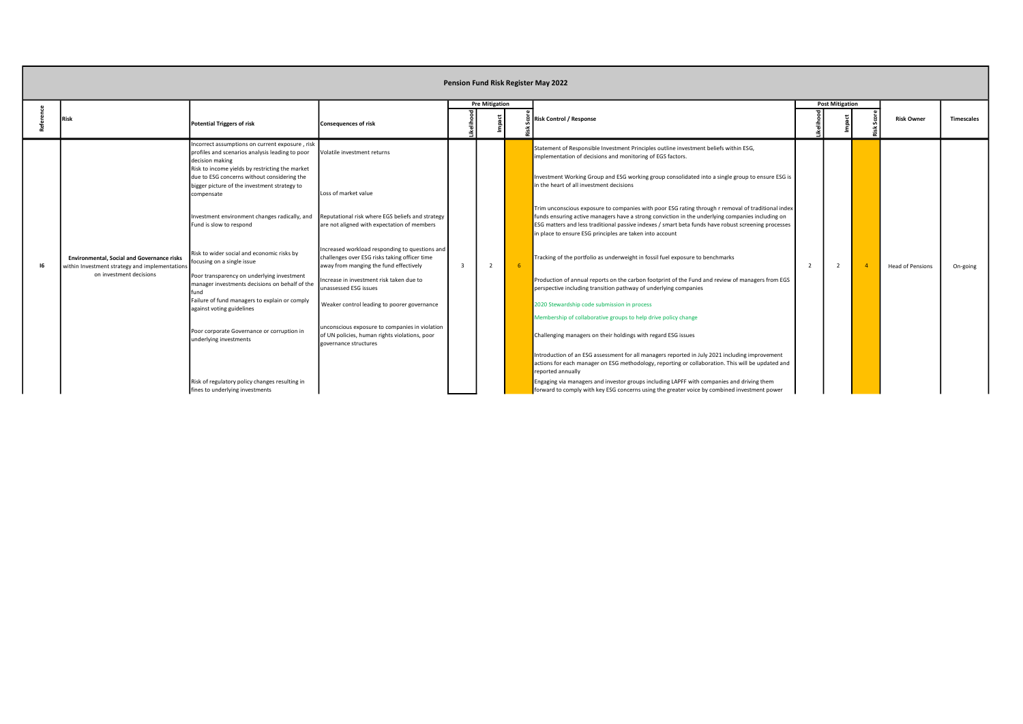|                                                                                                     |                                                                                                                                                                          |                                                                                                                                           |              |                       |    | Pension Fund Risk Register May 2022                                                                                                                                                                                                                                                                                                                                       |                        |                         |                   |
|-----------------------------------------------------------------------------------------------------|--------------------------------------------------------------------------------------------------------------------------------------------------------------------------|-------------------------------------------------------------------------------------------------------------------------------------------|--------------|-----------------------|----|---------------------------------------------------------------------------------------------------------------------------------------------------------------------------------------------------------------------------------------------------------------------------------------------------------------------------------------------------------------------------|------------------------|-------------------------|-------------------|
|                                                                                                     | <b>Potential Triggers of risk</b>                                                                                                                                        | <b>Consequences of risk</b>                                                                                                               |              | <b>Pre Mitigation</b> |    | <b>Risk Control / Response</b>                                                                                                                                                                                                                                                                                                                                            | <b>Post Mitigation</b> | <b>Risk Owner</b>       | <b>Timescales</b> |
|                                                                                                     | Incorrect assumptions on current exposure, risk<br>profiles and scenarios analysis leading to poor<br>decision making<br>Risk to income yields by restricting the market | Volatile investment returns                                                                                                               |              |                       |    | Statement of Responsible Investment Principles outline investment beliefs within ESG,<br>implementation of decisions and monitoring of EGS factors.                                                                                                                                                                                                                       |                        |                         |                   |
|                                                                                                     | due to ESG concerns without considering the<br>bigger picture of the investment strategy to<br>compensate                                                                | Loss of market value                                                                                                                      |              |                       |    | Investment Working Group and ESG working group consolidated into a single group to ensure ESG is<br>in the heart of all investment decisions                                                                                                                                                                                                                              |                        |                         |                   |
|                                                                                                     | Investment environment changes radically, and<br>Fund is slow to respond                                                                                                 | Reputational risk where EGS beliefs and strategy<br>are not aligned with expectation of members                                           |              |                       |    | Trim unconscious exposure to companies with poor ESG rating through r removal of traditional index<br>funds ensuring active managers have a strong conviction in the underlying companies including on<br>ESG matters and less traditional passive indexes / smart beta funds have robust screening processes<br>in place to ensure ESG principles are taken into account |                        |                         |                   |
| <b>Environmental, Social and Governance risks</b><br>within Investment strategy and implementations | Risk to wider social and economic risks by<br>focusing on a single issue                                                                                                 | Increased workload responding to questions and<br>challenges over ESG risks taking officer time<br>away from manging the fund effectively | $\mathbf{3}$ | $\overline{2}$        | -6 | Tracking of the portfolio as underweight in fossil fuel exposure to benchmarks                                                                                                                                                                                                                                                                                            |                        | <b>Head of Pensions</b> | On-going          |
| on investment decisions                                                                             | Poor transparency on underlying investment<br>manager investments decisions on behalf of the<br>fund                                                                     | Increase in investment risk taken due to<br>unassessed ESG issues                                                                         |              |                       |    | Production of annual reports on the carbon footprint of the Fund and review of managers from EGS<br>perspective including transition pathway of underlying companies                                                                                                                                                                                                      |                        |                         |                   |
|                                                                                                     | Failure of fund managers to explain or comply<br>against voting guidelines                                                                                               | Weaker control leading to poorer governance                                                                                               |              |                       |    | 2020 Stewardship code submission in process<br>Membership of collaborative groups to help drive policy change                                                                                                                                                                                                                                                             |                        |                         |                   |
|                                                                                                     | Poor corporate Governance or corruption in<br>underlying investments                                                                                                     | unconscious exposure to companies in violation<br>of UN policies, human rights violations, poor<br>governance structures                  |              |                       |    | Challenging managers on their holdings with regard ESG issues                                                                                                                                                                                                                                                                                                             |                        |                         |                   |
|                                                                                                     |                                                                                                                                                                          |                                                                                                                                           |              |                       |    | Introduction of an ESG assessment for all managers reported in July 2021 including improvement<br>actions for each manager on ESG methodology, reporting or collaboration. This will be updated and<br>reported annually                                                                                                                                                  |                        |                         |                   |
|                                                                                                     | Risk of regulatory policy changes resulting in<br>fines to underlying investments                                                                                        |                                                                                                                                           |              |                       |    | Engaging via managers and investor groups including LAPFF with companies and driving them<br>forward to comply with key ESG concerns using the greater voice by combined investment power                                                                                                                                                                                 |                        |                         |                   |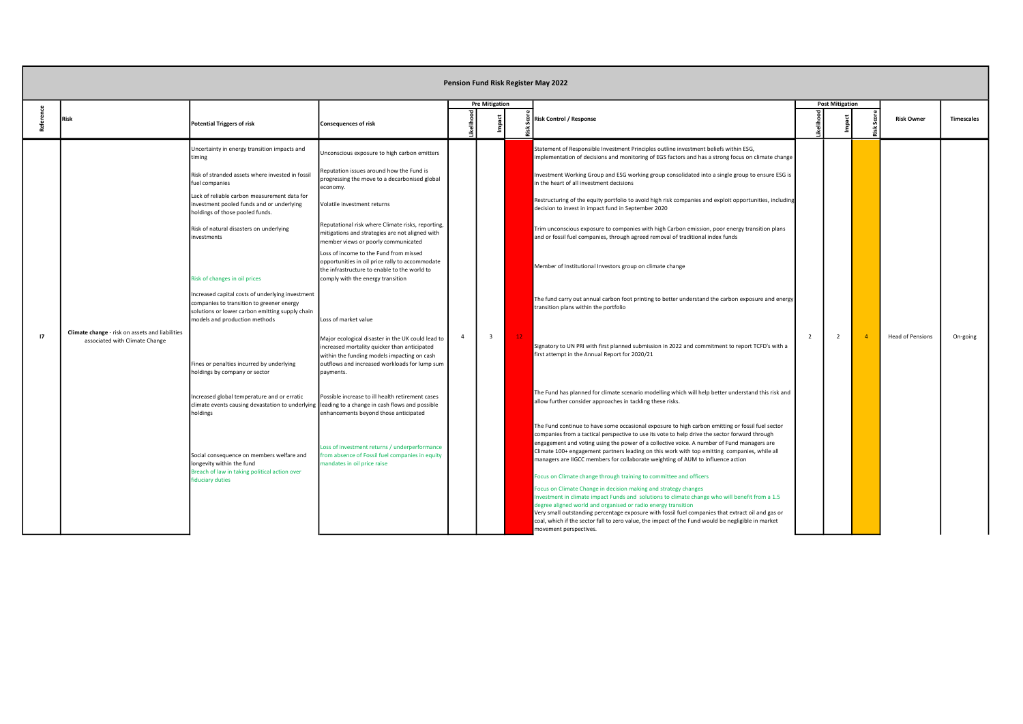|    |                                                                                   |                                                                                                                                                                                                                                                                                                                                                                                                                                                                                                                                                                                                                                                                                                                                                                                                                                                                                                                                         |                                                                                                                                                                                                                                                                                                                                                                                                                                                                                                                                                                                                                                                                                                                                                                                                                                                                                                                                                                                                 |                |                         |    | Pension Fund Risk Register May 2022                                                                                                                                                                                                                                                                                                                                                                                                                                                                                                                                                                                                                                                                                                                                                                                                                                                                                                                                                                                                                                                                                                                                                                                                                                                                                                                                                                                                                                                                                                                                                                                                                                                                                                                                                                                                                                      |                        |                         |                   |
|----|-----------------------------------------------------------------------------------|-----------------------------------------------------------------------------------------------------------------------------------------------------------------------------------------------------------------------------------------------------------------------------------------------------------------------------------------------------------------------------------------------------------------------------------------------------------------------------------------------------------------------------------------------------------------------------------------------------------------------------------------------------------------------------------------------------------------------------------------------------------------------------------------------------------------------------------------------------------------------------------------------------------------------------------------|-------------------------------------------------------------------------------------------------------------------------------------------------------------------------------------------------------------------------------------------------------------------------------------------------------------------------------------------------------------------------------------------------------------------------------------------------------------------------------------------------------------------------------------------------------------------------------------------------------------------------------------------------------------------------------------------------------------------------------------------------------------------------------------------------------------------------------------------------------------------------------------------------------------------------------------------------------------------------------------------------|----------------|-------------------------|----|--------------------------------------------------------------------------------------------------------------------------------------------------------------------------------------------------------------------------------------------------------------------------------------------------------------------------------------------------------------------------------------------------------------------------------------------------------------------------------------------------------------------------------------------------------------------------------------------------------------------------------------------------------------------------------------------------------------------------------------------------------------------------------------------------------------------------------------------------------------------------------------------------------------------------------------------------------------------------------------------------------------------------------------------------------------------------------------------------------------------------------------------------------------------------------------------------------------------------------------------------------------------------------------------------------------------------------------------------------------------------------------------------------------------------------------------------------------------------------------------------------------------------------------------------------------------------------------------------------------------------------------------------------------------------------------------------------------------------------------------------------------------------------------------------------------------------------------------------------------------------|------------------------|-------------------------|-------------------|
|    | <b>Risk</b>                                                                       | <b>Potential Triggers of risk</b>                                                                                                                                                                                                                                                                                                                                                                                                                                                                                                                                                                                                                                                                                                                                                                                                                                                                                                       | <b>Consequences of risk</b>                                                                                                                                                                                                                                                                                                                                                                                                                                                                                                                                                                                                                                                                                                                                                                                                                                                                                                                                                                     |                | <b>Pre Mitigation</b>   |    | <b>Risk Control / Response</b>                                                                                                                                                                                                                                                                                                                                                                                                                                                                                                                                                                                                                                                                                                                                                                                                                                                                                                                                                                                                                                                                                                                                                                                                                                                                                                                                                                                                                                                                                                                                                                                                                                                                                                                                                                                                                                           | <b>Post Mitigation</b> | <b>Risk Owner</b>       | <b>Timescales</b> |
| 17 | Climate change - risk on assets and liabilities<br>associated with Climate Change | Uncertainty in energy transition impacts and<br>timing<br>Risk of stranded assets where invested in fossil<br>fuel companies<br>Lack of reliable carbon measurement data for<br>investment pooled funds and or underlying<br>holdings of those pooled funds.<br>Risk of natural disasters on underlying<br>investments<br>Risk of changes in oil prices<br>Increased capital costs of underlying investment<br>companies to transition to greener energy<br>solutions or lower carbon emitting supply chain<br>models and production methods<br>Fines or penalties incurred by underlying<br>holdings by company or sector<br>Increased global temperature and or erratic<br>climate events causing devastation to underlying leading to a change in cash flows and possible<br>holdings<br>Social consequence on members welfare and<br>longevity within the fund<br>Breach of law in taking political action over<br>fiduciary duties | Unconscious exposure to high carbon emitters<br>Reputation issues around how the Fund is<br>progressing the move to a decarbonised global<br>economy.<br>Volatile investment returns<br>Reputational risk where Climate risks, reporting,<br>mitigations and strategies are not aligned with<br>member views or poorly communicated<br>Loss of income to the Fund from missed<br>opportunities in oil price rally to accommodate<br>the infrastructure to enable to the world to<br>comply with the energy transition<br>Loss of market value<br>Major ecological disaster in the UK could lead to<br>increased mortality quicker than anticipated<br>within the funding models impacting on cash<br>outflows and increased workloads for lump sum<br>payments.<br>Possible increase to ill health retirement cases<br>enhancements beyond those anticipated<br>Loss of investment returns / underperformance<br>from absence of Fossil fuel companies in equity<br>mandates in oil price raise | $\overline{4}$ | $\overline{\mathbf{3}}$ | 12 | Statement of Responsible Investment Principles outline investment beliefs within ESG,<br>implementation of decisions and monitoring of EGS factors and has a strong focus on climate change<br>Investment Working Group and ESG working group consolidated into a single group to ensure ESG is<br>in the heart of all investment decisions<br>Restructuring of the equity portfolio to avoid high risk companies and exploit opportunities, including<br>decision to invest in impact fund in September 2020<br>Trim unconscious exposure to companies with high Carbon emission, poor energy transition plans<br>and or fossil fuel companies, through agreed removal of traditional index funds<br>Member of Institutional Investors group on climate change<br>The fund carry out annual carbon foot printing to better understand the carbon exposure and energy<br>transition plans within the portfolio<br>Signatory to UN PRI with first planned submission in 2022 and commitment to report TCFD's with a<br>first attempt in the Annual Report for 2020/21<br>The Fund has planned for climate scenario modelling which will help better understand this risk and<br>allow further consider approaches in tackling these risks.<br>The Fund continue to have some occasional exposure to high carbon emitting or fossil fuel sector<br>companies from a tactical perspective to use its vote to help drive the sector forward through<br>engagement and voting using the power of a collective voice. A number of Fund managers are<br>Climate 100+ engagement partners leading on this work with top emitting companies, while all<br>managers are IIGCC members for collaborate weighting of AUM to influence action<br>Focus on Climate change through training to committee and officers<br>ocus on Climate Change in decision making and strategy changes |                        | <b>Head of Pensions</b> | On-going          |
|    |                                                                                   |                                                                                                                                                                                                                                                                                                                                                                                                                                                                                                                                                                                                                                                                                                                                                                                                                                                                                                                                         |                                                                                                                                                                                                                                                                                                                                                                                                                                                                                                                                                                                                                                                                                                                                                                                                                                                                                                                                                                                                 |                |                         |    | Investment in climate impact Funds and solutions to climate change who will benefit from a 1.5<br>legree aligned world and organised or radio energy transition<br>Very small outstanding percentage exposure with fossil fuel companies that extract oil and gas or<br>coal, which if the sector fall to zero value, the impact of the Fund would be negligible in market<br>movement perspectives.                                                                                                                                                                                                                                                                                                                                                                                                                                                                                                                                                                                                                                                                                                                                                                                                                                                                                                                                                                                                                                                                                                                                                                                                                                                                                                                                                                                                                                                                     |                        |                         |                   |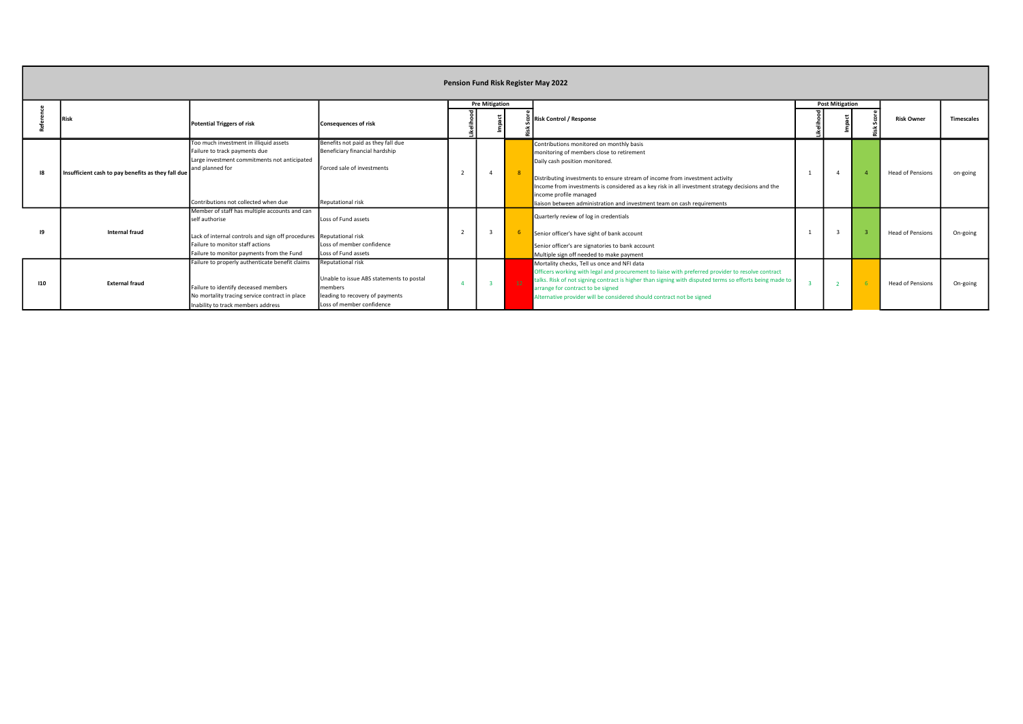|     | Pension Fund Risk Register May 2022                |                                                                                                                                                                                                                         |                                                                                                                                          |  |                       |                 |                                                                                                                                                                                                                                                                                                                                                                                                                  |  |                        |  |                         |                   |  |  |
|-----|----------------------------------------------------|-------------------------------------------------------------------------------------------------------------------------------------------------------------------------------------------------------------------------|------------------------------------------------------------------------------------------------------------------------------------------|--|-----------------------|-----------------|------------------------------------------------------------------------------------------------------------------------------------------------------------------------------------------------------------------------------------------------------------------------------------------------------------------------------------------------------------------------------------------------------------------|--|------------------------|--|-------------------------|-------------------|--|--|
|     | Risk                                               | <b>Potential Triggers of risk</b>                                                                                                                                                                                       | <b>Consequences of risk</b>                                                                                                              |  | <b>Pre Mitigation</b> |                 | Risk Control / Response                                                                                                                                                                                                                                                                                                                                                                                          |  | <b>Post Mitigation</b> |  | <b>Risk Owner</b>       | <b>Timescales</b> |  |  |
|     | Insufficient cash to pay benefits as they fall due | Too much investment in illiquid assets<br>Failure to track payments due<br>Large investment commitments not anticipated<br>and planned for<br>Contributions not collected when due                                      | Benefits not paid as they fall due<br>Beneficiary financial hardship<br>Forced sale of investments<br>Reputational risk                  |  | $\overline{4}$        | $\mathbf{R}$    | Contributions monitored on monthly basis<br>monitoring of members close to retirement<br>Daily cash position monitored.<br>Distributing investments to ensure stream of income from investment activity<br>Income from investments is considered as a key risk in all investment strategy decisions and the<br>income profile managed<br>liaison between administration and investment team on cash requirements |  |                        |  | <b>Head of Pensions</b> | on-going          |  |  |
|     | <b>Internal fraud</b>                              | Member of staff has multiple accounts and can<br>self authorise<br>Lack of internal controls and sign off procedures Reputational risk<br>Failure to monitor staff actions<br>Failure to monitor payments from the Fund | Loss of Fund assets<br>Loss of member confidence<br>Loss of Fund assets                                                                  |  |                       |                 | Quarterly review of log in credentials<br>Senior officer's have sight of bank account<br>Senior officer's are signatories to bank account<br>Multiple sign off needed to make payment                                                                                                                                                                                                                            |  |                        |  | <b>Head of Pensions</b> | On-going          |  |  |
| 110 | <b>External fraud</b>                              | Failure to properly authenticate benefit claims<br>Failure to identify deceased members<br>No mortality tracing service contract in place<br>Inability to track members address                                         | Reputational risk<br>Unable to issue ABS statements to postal<br>members<br>leading to recovery of payments<br>Loss of member confidence |  |                       | 12 <sup>7</sup> | Mortality checks, Tell us once and NFI data<br>Officers working with legal and procurement to liaise with preferred provider to resolve contract<br>talks. Risk of not signing contract is higher than signing with disputed terms so efforts being made to<br>arrange for contract to be signed<br>Alternative provider will be considered should contract not be signed                                        |  |                        |  | <b>Head of Pensions</b> | On-going          |  |  |